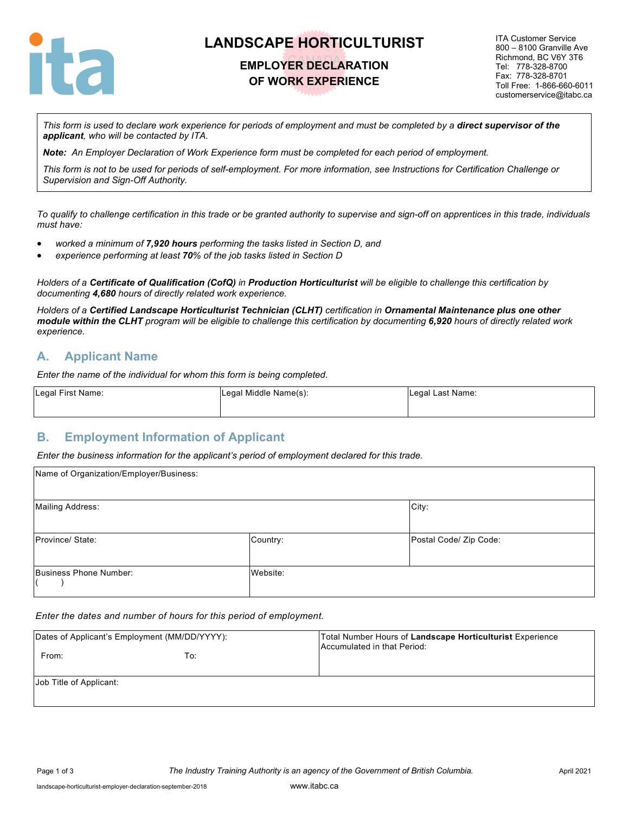

# **LANDSCAPE HORTICULTURIST**

### **EMPLOYER DECLARATION OF WORK EXPERIENCE**

ITA Customer Service 800 – 8100 Granville Ave Richmond, BC V6Y 3T6 Tel: 778-328-8700 Fax: 778-328-8701 Toll Free: 1-866-660-6011 customerservice@itabc.ca

*This form is used to declare work experience for periods of employment and must be completed by a direct supervisor of the applicant, who will be contacted by ITA.*

*Note: An Employer Declaration of Work Experience form must be completed for each period of employment.*

*This form is not to be used for periods of self-employment. For more information, see Instructions for Certification Challenge or Supervision and Sign-Off Authority.*

*To qualify to challenge certification in this trade or be granted authority to supervise and sign-off on apprentices in this trade, individuals must have:*

- *worked a minimum of 7,920 hours performing the tasks listed in Section D, and*
- *experience performing at least 70% of the job tasks listed in Section D*

*Holders of a Certificate of Qualification (CofQ) in Production Horticulturist will be eligible to challenge this certification by documenting 4,680 hours of directly related work experience.*

*Holders of a Certified Landscape Horticulturist Technician (CLHT) certification in Ornamental Maintenance plus one other module within the CLHT program will be eligible to challenge this certification by documenting 6,920 hours of directly related work experience.*

#### **A. Applicant Name**

*Enter the name of the individual for whom this form is being completed.*

| Legal First Name: | Legal Middle Name(s): | Legal Last Name: |
|-------------------|-----------------------|------------------|
|                   |                       |                  |

#### **B. Employment Information of Applicant**

*Enter the business information for the applicant's period of employment declared for this trade.*

| Name of Organization/Employer/Business: |          |                        |
|-----------------------------------------|----------|------------------------|
| <b>Mailing Address:</b>                 |          | City:                  |
| Province/ State:                        | Country: | Postal Code/ Zip Code: |
| Business Phone Number:                  | Website: |                        |

#### *Enter the dates and number of hours for this period of employment.*

| Dates of Applicant's Employment (MM/DD/YYYY):<br>From: | To: | Total Number Hours of Landscape Horticulturist Experience<br>Accumulated in that Period: |
|--------------------------------------------------------|-----|------------------------------------------------------------------------------------------|
| Job Title of Applicant:                                |     |                                                                                          |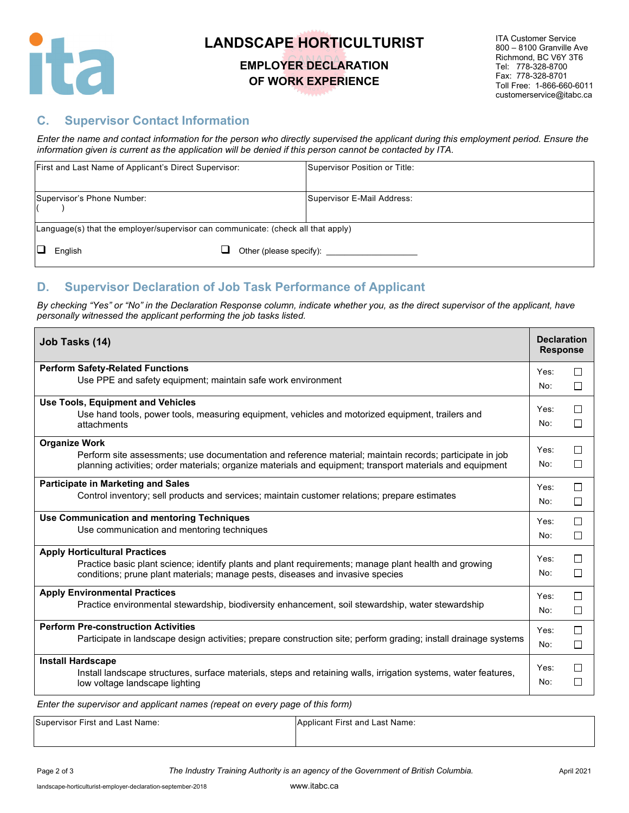

# **LANDSCAPE HORTICULTURIST**

### **EMPLOYER DECLARATION OF WORK EXPERIENCE**

ITA Customer Service 800 – 8100 Granville Ave Richmond, BC V6Y 3T6 Tel: 778-328-8700 Fax: 778-328-8701 Toll Free: 1-866-660-6011 customerservice@itabc.ca

### **C. Supervisor Contact Information**

*Enter the name and contact information for the person who directly supervised the applicant during this employment period. Ensure the information given is current as the application will be denied if this person cannot be contacted by ITA.*

| First and Last Name of Applicant's Direct Supervisor:                            | Supervisor Position or Title: |
|----------------------------------------------------------------------------------|-------------------------------|
| Supervisor's Phone Number:                                                       | Supervisor E-Mail Address:    |
| Language(s) that the employer/supervisor can communicate: (check all that apply) |                               |
| English                                                                          | Other (please specify):       |

### **D. Supervisor Declaration of Job Task Performance of Applicant**

*By checking "Yes" or "No" in the Declaration Response column, indicate whether you, as the direct supervisor of the applicant, have personally witnessed the applicant performing the job tasks listed.* 

| Job Tasks (14)                                                                                                   |      | <b>Declaration</b><br><b>Response</b> |
|------------------------------------------------------------------------------------------------------------------|------|---------------------------------------|
| <b>Perform Safety-Related Functions</b>                                                                          | Yes: | П                                     |
| Use PPE and safety equipment; maintain safe work environment                                                     | No:  | П                                     |
| <b>Use Tools, Equipment and Vehicles</b>                                                                         | Yes: | П                                     |
| Use hand tools, power tools, measuring equipment, vehicles and motorized equipment, trailers and<br>attachments  | No:  | П                                     |
| <b>Organize Work</b>                                                                                             |      |                                       |
| Perform site assessments; use documentation and reference material; maintain records; participate in job         | Yes: | П                                     |
| planning activities; order materials; organize materials and equipment; transport materials and equipment        | No:  | □                                     |
| <b>Participate in Marketing and Sales</b>                                                                        | Yes: | П                                     |
| Control inventory; sell products and services; maintain customer relations; prepare estimates                    |      | П                                     |
| Use Communication and mentoring Techniques                                                                       | Yes: | П                                     |
| Use communication and mentoring techniques                                                                       | No:  | □                                     |
| <b>Apply Horticultural Practices</b>                                                                             |      |                                       |
| Practice basic plant science; identify plants and plant requirements; manage plant health and growing            | Yes: | П                                     |
| conditions; prune plant materials; manage pests, diseases and invasive species                                   | No:  | $\Box$                                |
| <b>Apply Environmental Practices</b>                                                                             | Yes: | $\Box$                                |
| Practice environmental stewardship, biodiversity enhancement, soil stewardship, water stewardship                | No:  | $\Box$                                |
| <b>Perform Pre-construction Activities</b>                                                                       | Yes: | □                                     |
| Participate in landscape design activities; prepare construction site; perform grading; install drainage systems | No:  | $\Box$                                |
| <b>Install Hardscape</b>                                                                                         | Yes: | П                                     |
| Install landscape structures, surface materials, steps and retaining walls, irrigation systems, water features,  |      |                                       |
| low voltage landscape lighting                                                                                   | No:  | $\Box$                                |
| $\cdots$                                                                                                         |      |                                       |

*Enter the supervisor and applicant names (repeat on every page of this form)*

| Supervisor First and Last Name: | Applicant First and Last Name: |
|---------------------------------|--------------------------------|
|                                 |                                |